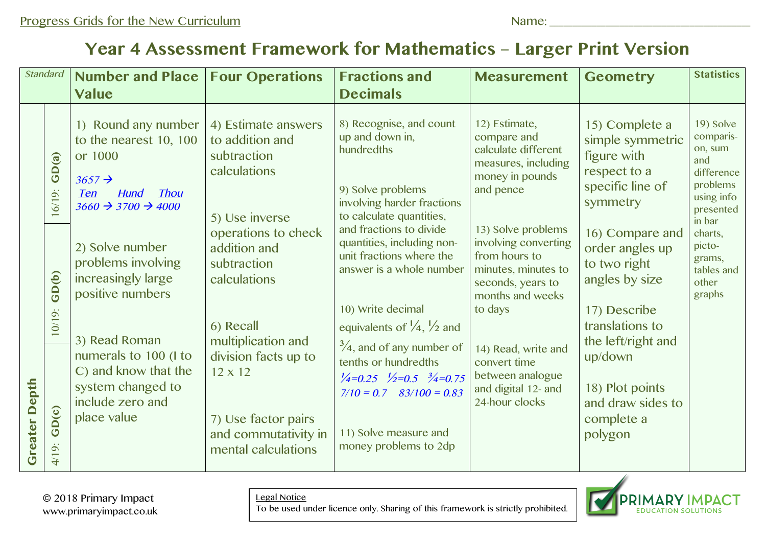## **Year 4 Assessment Framework for Mathematics – Larger Print Version**

| <b>Standard</b>      |                    | <b>Number and Place</b>                                                                                                                    | <b>Four Operations</b>                                                                  | <b>Fractions and</b>                                                                                                                                                                                                                                                                                | <b>Measurement</b>                                                                                                          | <b>Geometry</b>                                                                                                                   | <b>Statistics</b>                                                                                       |
|----------------------|--------------------|--------------------------------------------------------------------------------------------------------------------------------------------|-----------------------------------------------------------------------------------------|-----------------------------------------------------------------------------------------------------------------------------------------------------------------------------------------------------------------------------------------------------------------------------------------------------|-----------------------------------------------------------------------------------------------------------------------------|-----------------------------------------------------------------------------------------------------------------------------------|---------------------------------------------------------------------------------------------------------|
|                      |                    | <b>Value</b>                                                                                                                               |                                                                                         | <b>Decimals</b>                                                                                                                                                                                                                                                                                     |                                                                                                                             |                                                                                                                                   |                                                                                                         |
|                      | GD(a)<br>$16/19$ : | 1) Round any number<br>to the nearest 10, 100<br>or 1000<br>$3657 \rightarrow$<br><b>Thou</b><br>Hund<br>Ten<br>$3660 \div 3700 \div 4000$ | 4) Estimate answers<br>to addition and<br>subtraction<br>calculations<br>5) Use inverse | 8) Recognise, and count<br>up and down in,<br>hundredths<br>9) Solve problems<br>involving harder fractions<br>to calculate quantities,                                                                                                                                                             | 12) Estimate,<br>compare and<br>calculate different<br>measures, including<br>money in pounds<br>and pence                  | 15) Complete a<br>simple symmetric<br>figure with<br>respect to a<br>specific line of<br>symmetry                                 | 19) Solve<br>comparis-<br>on, sum<br>and<br>difference<br>problems<br>using info<br>presented<br>in bar |
|                      | GD(b)              | 2) Solve number<br>problems involving<br>increasingly large<br>positive numbers                                                            | operations to check<br>addition and<br>subtraction<br>calculations                      | and fractions to divide<br>quantities, including non-<br>unit fractions where the<br>answer is a whole number                                                                                                                                                                                       | 13) Solve problems<br>involving converting<br>from hours to<br>minutes, minutes to<br>seconds, years to<br>months and weeks | 16) Compare and<br>order angles up<br>to two right<br>angles by size                                                              | charts,<br>picto-<br>grams,<br>tables and<br>other<br>graphs                                            |
| <b>Greater Depth</b> | $10/19$ :          | 3) Read Roman<br>numerals to 100 (I to<br>C) and know that the<br>system changed to<br>include zero and<br>place value                     | 6) Recall<br>multiplication and<br>division facts up to                                 | 10) Write decimal<br>to days<br>equivalents of $\frac{1}{4}$ , $\frac{1}{2}$ and<br>$\frac{3}{4}$ , and of any number of<br>tenths or hundredths<br>$\frac{1}{4} = 0.25$ $\frac{1}{2} = 0.5$ $\frac{3}{4} = 0.75$<br>$7/10 = 0.7$ $83/100 = 0.83$<br>11) Solve measure and<br>money problems to 2dp | 14) Read, write and<br>convert time                                                                                         | 17) Describe<br>translations to<br>the left/right and<br>up/down<br>18) Plot points<br>and draw sides to<br>complete a<br>polygon |                                                                                                         |
|                      | GD(c)<br>4/19:     |                                                                                                                                            | $12 \times 12$<br>7) Use factor pairs<br>and commutativity in<br>mental calculations    |                                                                                                                                                                                                                                                                                                     | between analogue<br>and digital 12- and<br>24-hour clocks                                                                   |                                                                                                                                   |                                                                                                         |

© 2018 Primary Impact www.primaryimpact.co.uk Legal Notice

To be used under licence only. Sharing of this framework is strictly prohibited.

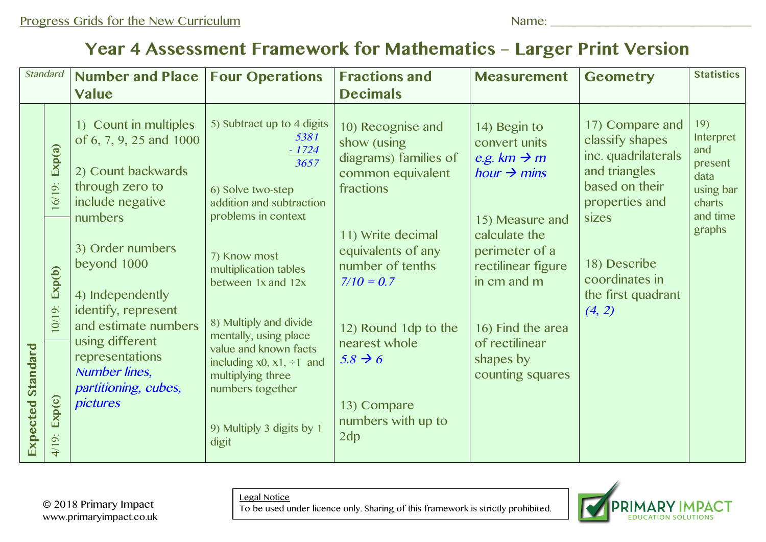## **Year 4 Assessment Framework for Mathematics – Larger Print Version**

| <b>Standard</b>      |                     | <b>Number and Place</b>                                                                                                  | <b>Four Operations</b>                                                                                                                 | <b>Fractions and</b>                                                                                | <b>Measurement</b>                                                                                     | <b>Geometry</b>                                                                                                         | <b>Statistics</b>                                                             |
|----------------------|---------------------|--------------------------------------------------------------------------------------------------------------------------|----------------------------------------------------------------------------------------------------------------------------------------|-----------------------------------------------------------------------------------------------------|--------------------------------------------------------------------------------------------------------|-------------------------------------------------------------------------------------------------------------------------|-------------------------------------------------------------------------------|
|                      |                     | <b>Value</b>                                                                                                             |                                                                                                                                        | <b>Decimals</b>                                                                                     |                                                                                                        |                                                                                                                         |                                                                               |
| Standard<br>Expected | Exp(a)<br>$16/19$ : | 1) Count in multiples<br>of 6, 7, 9, 25 and 1000<br>2) Count backwards<br>through zero to<br>include negative<br>numbers | 5) Subtract up to 4 digits<br>5381<br>$-1724$<br>3657<br>6) Solve two-step<br>addition and subtraction<br>problems in context          | 10) Recognise and<br>show (using<br>diagrams) families of<br>common equivalent<br>fractions         | 14) Begin to<br>convert units<br>e.g. $km \rightarrow m$<br>hour $\rightarrow$ mins<br>15) Measure and | 17) Compare and<br>classify shapes<br>inc. quadrilaterals<br>and triangles<br>based on their<br>properties and<br>sizes | 19)<br>Interpret<br>and<br>present<br>data<br>using bar<br>charts<br>and time |
|                      | Exp(b)<br>$10/19$ : | 3) Order numbers<br>beyond 1000<br>4) Independently<br>identify, represent<br>and estimate numbers                       | 7) Know most<br>multiplication tables<br>between 1x and 12x<br>8) Multiply and divide<br>mentally, using place                         | 11) Write decimal<br>equivalents of any<br>number of tenths<br>$7/10 = 0.7$<br>12) Round 1dp to the | calculate the<br>perimeter of a<br>rectilinear figure<br>in cm and m<br>16) Find the area              | 18) Describe<br>coordinates in<br>the first quadrant<br>(4, 2)                                                          | graphs                                                                        |
|                      | Exp(c)<br>4/19:     | using different<br>representations<br><b>Number lines,</b><br>partitioning, cubes,<br>pictures                           | value and known facts<br>including $x0, x1, \div 1$ and<br>multiplying three<br>numbers together<br>9) Multiply 3 digits by 1<br>digit | nearest whole<br>$5.8 \rightarrow 6$<br>13) Compare<br>numbers with up to<br>2dp                    | of rectilinear<br>shapes by<br>counting squares                                                        |                                                                                                                         |                                                                               |

© 2018 Primary Impact www.primaryimpact.co.uk Legal Notice

To be used under licence only. Sharing of this framework is strictly prohibited.